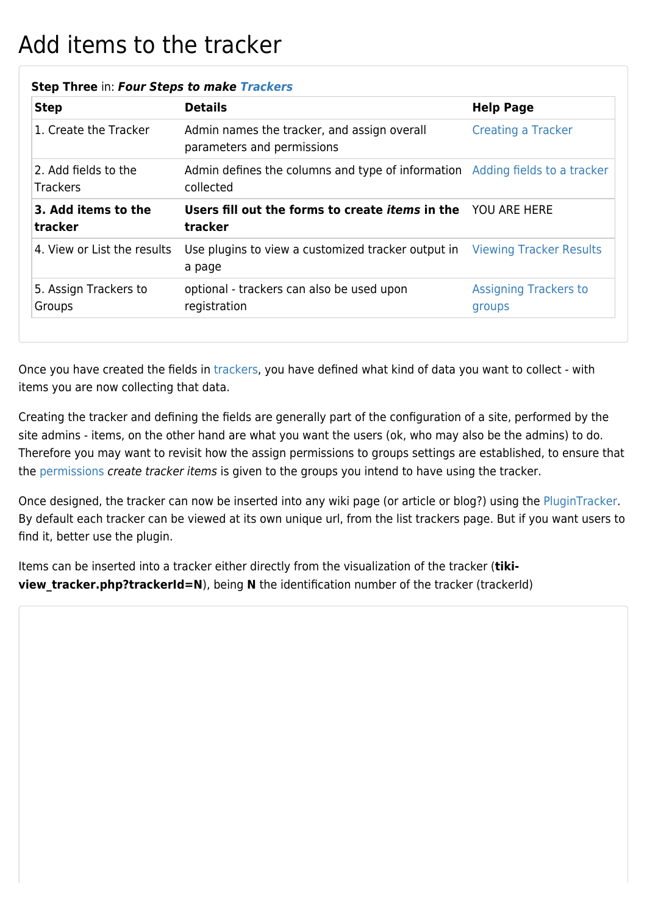## Add items to the tracker

| <b>Step</b>                             | <b>Details</b>                                                                            | <b>Help Page</b>                       |
|-----------------------------------------|-------------------------------------------------------------------------------------------|----------------------------------------|
| 1. Create the Tracker                   | Admin names the tracker, and assign overall<br>parameters and permissions                 | <b>Creating a Tracker</b>              |
| 2. Add fields to the<br><b>Trackers</b> | Admin defines the columns and type of information Adding fields to a tracker<br>collected |                                        |
| 3. Add items to the<br>tracker          | Users fill out the forms to create <i>items</i> in the YOU ARE HERE<br>tracker            |                                        |
| 4. View or List the results             | Use plugins to view a customized tracker output in Viewing Tracker Results<br>a page      |                                        |
| 5. Assign Trackers to<br>Groups         | optional - trackers can also be used upon<br>registration                                 | <b>Assigning Trackers to</b><br>groups |

## **Step Three** in: *Four Steps to make [Trackers](https://doc.tiki.org/Trackers)*

Once you have created the fields in [trackers](https://doc.tiki.org/Trackers), you have defined what kind of data you want to collect - with items you are now collecting that data.

Creating the tracker and defining the fields are generally part of the configuration of a site, performed by the site admins - items, on the other hand are what you want the users (ok, who may also be the admins) to do. Therefore you may want to revisit how the assign permissions to groups settings are established, to ensure that the [permissions](https://doc.tiki.org/Permissions) create tracker items is given to the groups you intend to have using the tracker.

Once designed, the tracker can now be inserted into any wiki page (or article or blog?) using the [PluginTracker](https://doc.tiki.org/PluginTracker). By default each tracker can be viewed at its own unique url, from the list trackers page. But if you want users to find it, better use the plugin.

Items can be inserted into a tracker either directly from the visualization of the tracker (**tikiview\_tracker.php?trackerId=N**), being **N** the identification number of the tracker (trackerId)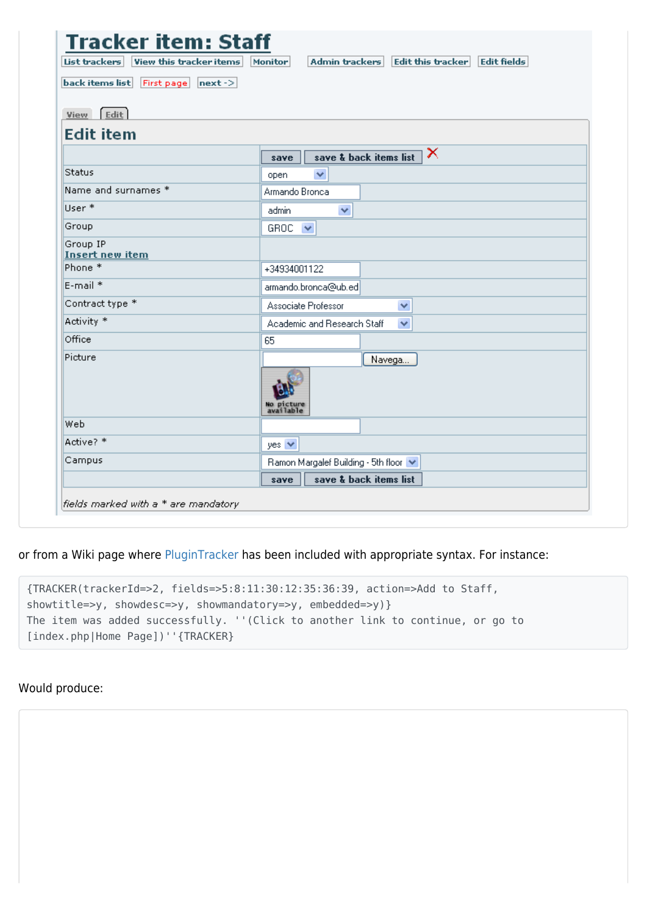| List trackers<br>View this tracker items | Admin trackers Edit this tracker<br><b>Edit fields</b><br>Monitor |
|------------------------------------------|-------------------------------------------------------------------|
| back items list First page next ->       |                                                                   |
|                                          |                                                                   |
| $[$ Edit<br><b>View</b>                  |                                                                   |
| <b>Edit item</b>                         |                                                                   |
|                                          | ×<br>save & back items list<br>save                               |
| Status                                   | ×<br>open                                                         |
| Name and surnames *                      | Armando Bronca                                                    |
| User *                                   | $\checkmark$<br>admin                                             |
| Group                                    | GROC $\vee$                                                       |
| Group IP<br><b>Insert new item</b>       |                                                                   |
| Phone <sup>*</sup>                       | +34934001122                                                      |
| E-mail *                                 | armando.bronca@ub.ed                                              |
| Contract type *                          | Associate Professor<br>v                                          |
| Activity <sup>*</sup>                    | Academic and Research Staff<br>$\checkmark$                       |
| Office                                   | 65                                                                |
| Picture                                  | Navega                                                            |
|                                          | No picture<br>available                                           |
| Web                                      |                                                                   |
| Active? *                                | yes $\vee$                                                        |
| Campus                                   | Ramon Margalef Building - 5th floor V                             |
|                                          | save & back items list<br>save                                    |

or from a Wiki page where [PluginTracker](https://doc.tiki.org/PluginTracker) has been included with appropriate syntax. For instance:

| $\{TRACKER(tracketId=>2, field=>5:8:11:30:12:35:36:39, action=>Add to Staff,$   |
|---------------------------------------------------------------------------------|
| showtitle=> $y$ , showdesc=> $y$ , showmandatory=> $y$ , embedded=> $y$ }       |
| The item was added successfully. ''(Click to another link to continue, or go to |
| [index.php Home Page])''{TRACKER}                                               |

## Would produce: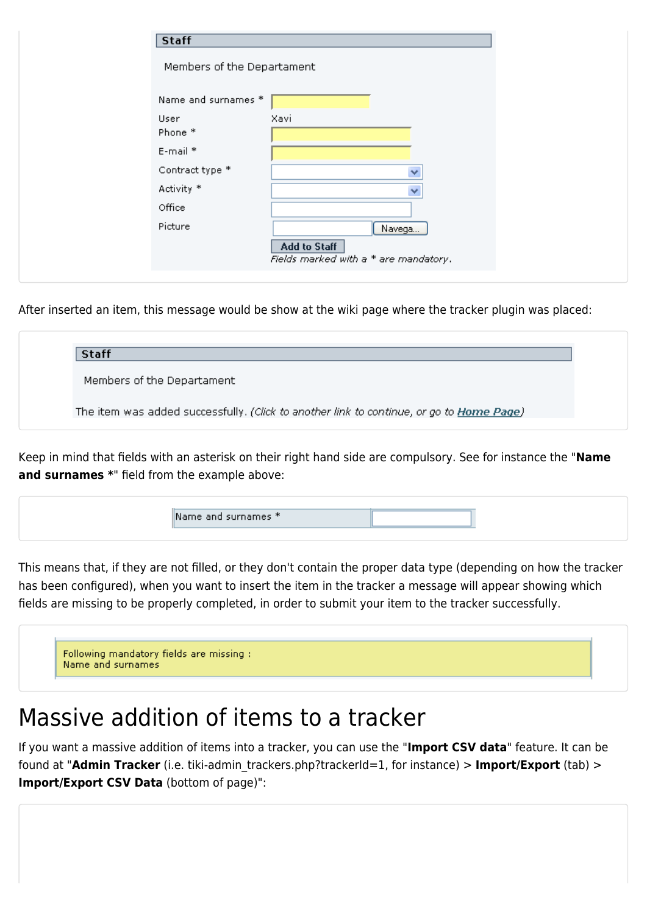| <b>Staff</b>               |                                                              |  |
|----------------------------|--------------------------------------------------------------|--|
| Members of the Departament |                                                              |  |
| Name and surnames *        |                                                              |  |
| User<br>Phone *            | Xavi                                                         |  |
| E-mail *                   |                                                              |  |
| Contract type *            | $\checkmark$                                                 |  |
| Activity *                 | $\checkmark$                                                 |  |
| Office                     |                                                              |  |
| Picture                    | Navega                                                       |  |
|                            | <b>Add to Staff</b><br>Fields marked with a * are mandatory. |  |
|                            |                                                              |  |

After inserted an item, this message would be show at the wiki page where the tracker plugin was placed:

| <b>Staff</b>                                                                             |  |
|------------------------------------------------------------------------------------------|--|
| Members of the Departament                                                               |  |
| The item was added successfully. (Click to another link to continue, or go to Home Page) |  |

Keep in mind that fields with an asterisk on their right hand side are compulsory. See for instance the "**Name and surnames \***" field from the example above:



This means that, if they are not filled, or they don't contain the proper data type (depending on how the tracker has been configured), when you want to insert the item in the tracker a message will appear showing which fields are missing to be properly completed, in order to submit your item to the tracker successfully.

| Following mandatory fields are missing :<br>Name and surnames |  |  |  |
|---------------------------------------------------------------|--|--|--|

## Massive addition of items to a tracker

If you want a massive addition of items into a tracker, you can use the "**Import CSV data**" feature. It can be found at "**Admin Tracker** (i.e. tiki-admin\_trackers.php?trackerId=1, for instance) > **Import/Export** (tab) > **Import/Export CSV Data** (bottom of page)":